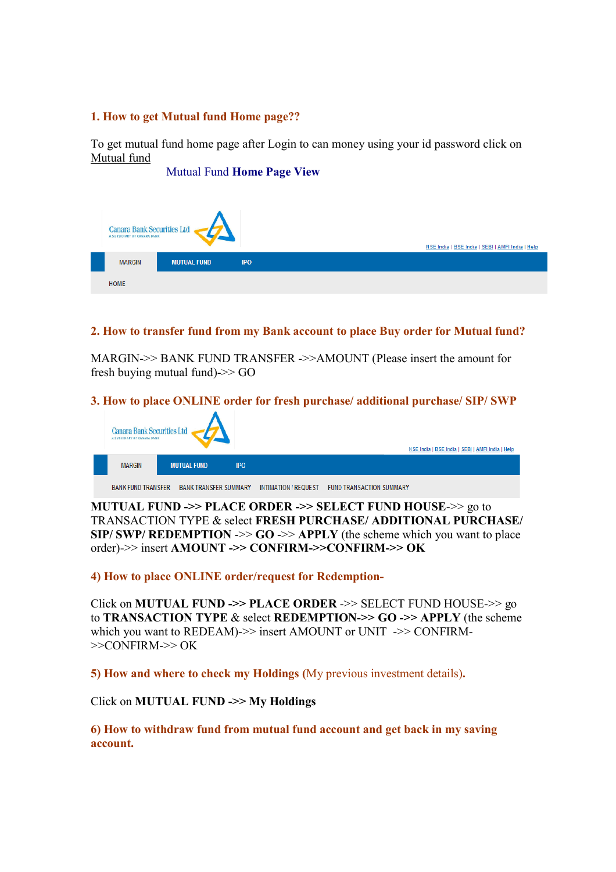## **1. How to get Mutual fund Home page??**

To get mutual fund home page after Login to can money using your id password click on Mutual fund

| <b>Mutual Fund Home Page View</b> |                                                                  |                    |            |                                                  |
|-----------------------------------|------------------------------------------------------------------|--------------------|------------|--------------------------------------------------|
|                                   |                                                                  |                    |            |                                                  |
|                                   |                                                                  |                    |            |                                                  |
|                                   | <b>Canara Bank Securities Ltd</b><br>A SUBSIDIARY OF CANARA BANK |                    |            | NSE India   BSE India   SEBI   AMFI India   Help |
|                                   | <b>MARGIN</b>                                                    | <b>MUTUAL FUND</b> | <b>IPO</b> |                                                  |
|                                   | <b>HOME</b>                                                      |                    |            |                                                  |

# **2. How to transfer fund from my Bank account to place Buy order for Mutual fund?**

MARGIN->> BANK FUND TRANSFER ->>AMOUNT (Please insert the amount for fresh buying mutual fund)->> GO

# **3. How to place ONLINE order for fresh purchase/ additional purchase/ SIP/ SWP**



**MUTUAL FUND ->> PLACE ORDER ->> SELECT FUND HOUSE**->> go to TRANSACTION TYPE & select **FRESH PURCHASE/ ADDITIONAL PURCHASE/ SIP/ SWP/ REDEMPTION ->>**  $GO \rightarrow\gt$  **APPLY (the scheme which you want to place** order)->> insert **AMOUNT ->> CONFIRM->>CONFIRM->> OK** 

**4) How to place ONLINE order/request for Redemption-**

Click on **MUTUAL FUND ->> PLACE ORDER** ->> SELECT FUND HOUSE->> go to **TRANSACTION TYPE** & select **REDEMPTION->> GO ->> APPLY** (the scheme which you want to REDEAM)->> insert AMOUNT or UNIT ->> CONFIRM- $>>$ CONFIRM- $>>$ OK

**5) How and where to check my Holdings (**My previous investment details)**.**

Click on **MUTUAL FUND ->> My Holdings** 

**6) How to withdraw fund from mutual fund account and get back in my saving account.**